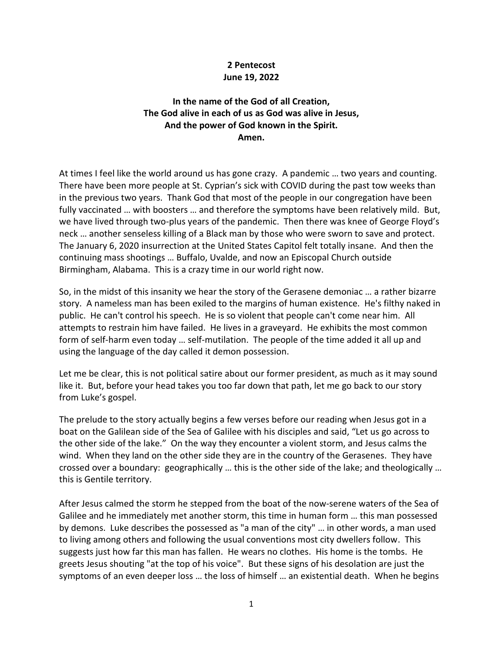## **2 Pentecost June 19, 2022**

## **In the name of the God of all Creation, The God alive in each of us as God was alive in Jesus, And the power of God known in the Spirit. Amen.**

At times I feel like the world around us has gone crazy. A pandemic … two years and counting. There have been more people at St. Cyprian's sick with COVID during the past tow weeks than in the previous two years. Thank God that most of the people in our congregation have been fully vaccinated … with boosters … and therefore the symptoms have been relatively mild. But, we have lived through two-plus years of the pandemic. Then there was knee of George Floyd's neck … another senseless killing of a Black man by those who were sworn to save and protect. The January 6, 2020 insurrection at the United States Capitol felt totally insane. And then the continuing mass shootings … Buffalo, Uvalde, and now an Episcopal Church outside Birmingham, Alabama. This is a crazy time in our world right now.

So, in the midst of this insanity we hear the story of the Gerasene demoniac … a rather bizarre story. A nameless man has been exiled to the margins of human existence. He's filthy naked in public. He can't control his speech. He is so violent that people can't come near him. All attempts to restrain him have failed. He lives in a graveyard. He exhibits the most common form of self-harm even today … self-mutilation. The people of the time added it all up and using the language of the day called it demon possession.

Let me be clear, this is not political satire about our former president, as much as it may sound like it. But, before your head takes you too far down that path, let me go back to our story from Luke's gospel.

The prelude to the story actually begins a few verses before our reading when Jesus got in a boat on the Galilean side of the Sea of Galilee with his disciples and said, "Let us go across to the other side of the lake." On the way they encounter a violent storm, and Jesus calms the wind. When they land on the other side they are in the country of the Gerasenes. They have crossed over a boundary: geographically … this is the other side of the lake; and theologically … this is Gentile territory.

After Jesus calmed the storm he stepped from the boat of the now-serene waters of the Sea of Galilee and he immediately met another storm, this time in human form … this man possessed by demons. Luke describes the possessed as "a man of the city" … in other words, a man used to living among others and following the usual conventions most city dwellers follow. This suggests just how far this man has fallen. He wears no clothes. His home is the tombs. He greets Jesus shouting "at the top of his voice". But these signs of his desolation are just the symptoms of an even deeper loss … the loss of himself … an existential death. When he begins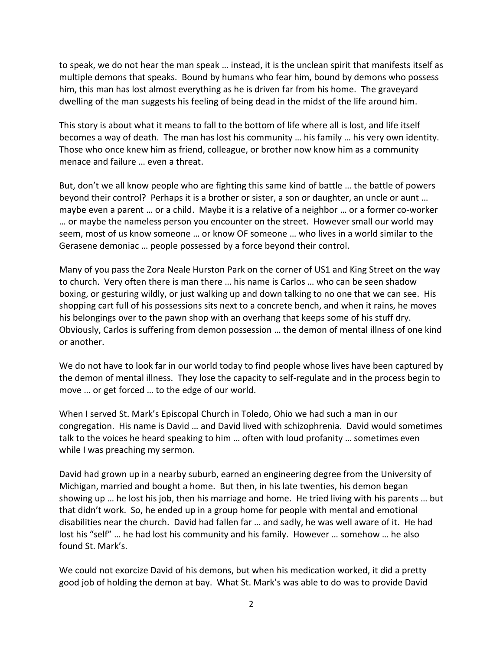to speak, we do not hear the man speak … instead, it is the unclean spirit that manifests itself as multiple demons that speaks. Bound by humans who fear him, bound by demons who possess him, this man has lost almost everything as he is driven far from his home. The graveyard dwelling of the man suggests his feeling of being dead in the midst of the life around him.

This story is about what it means to fall to the bottom of life where all is lost, and life itself becomes a way of death. The man has lost his community … his family … his very own identity. Those who once knew him as friend, colleague, or brother now know him as a community menace and failure … even a threat.

But, don't we all know people who are fighting this same kind of battle … the battle of powers beyond their control? Perhaps it is a brother or sister, a son or daughter, an uncle or aunt … maybe even a parent … or a child. Maybe it is a relative of a neighbor … or a former co-worker … or maybe the nameless person you encounter on the street. However small our world may seem, most of us know someone … or know OF someone … who lives in a world similar to the Gerasene demoniac … people possessed by a force beyond their control.

Many of you pass the Zora Neale Hurston Park on the corner of US1 and King Street on the way to church. Very often there is man there … his name is Carlos … who can be seen shadow boxing, or gesturing wildly, or just walking up and down talking to no one that we can see. His shopping cart full of his possessions sits next to a concrete bench, and when it rains, he moves his belongings over to the pawn shop with an overhang that keeps some of his stuff dry. Obviously, Carlos is suffering from demon possession … the demon of mental illness of one kind or another.

We do not have to look far in our world today to find people whose lives have been captured by the demon of mental illness. They lose the capacity to self-regulate and in the process begin to move … or get forced … to the edge of our world.

When I served St. Mark's Episcopal Church in Toledo, Ohio we had such a man in our congregation. His name is David … and David lived with schizophrenia. David would sometimes talk to the voices he heard speaking to him … often with loud profanity … sometimes even while I was preaching my sermon.

David had grown up in a nearby suburb, earned an engineering degree from the University of Michigan, married and bought a home. But then, in his late twenties, his demon began showing up … he lost his job, then his marriage and home. He tried living with his parents … but that didn't work. So, he ended up in a group home for people with mental and emotional disabilities near the church. David had fallen far … and sadly, he was well aware of it. He had lost his "self" … he had lost his community and his family. However … somehow … he also found St. Mark's.

We could not exorcize David of his demons, but when his medication worked, it did a pretty good job of holding the demon at bay. What St. Mark's was able to do was to provide David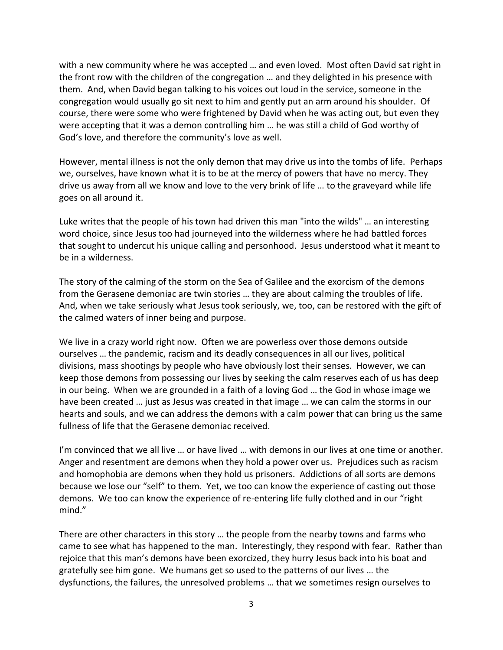with a new community where he was accepted ... and even loved. Most often David sat right in the front row with the children of the congregation … and they delighted in his presence with them. And, when David began talking to his voices out loud in the service, someone in the congregation would usually go sit next to him and gently put an arm around his shoulder. Of course, there were some who were frightened by David when he was acting out, but even they were accepting that it was a demon controlling him … he was still a child of God worthy of God's love, and therefore the community's love as well.

However, mental illness is not the only demon that may drive us into the tombs of life. Perhaps we, ourselves, have known what it is to be at the mercy of powers that have no mercy. They drive us away from all we know and love to the very brink of life … to the graveyard while life goes on all around it.

Luke writes that the people of his town had driven this man "into the wilds" … an interesting word choice, since Jesus too had journeyed into the wilderness where he had battled forces that sought to undercut his unique calling and personhood. Jesus understood what it meant to be in a wilderness.

The story of the calming of the storm on the Sea of Galilee and the exorcism of the demons from the Gerasene demoniac are twin stories … they are about calming the troubles of life. And, when we take seriously what Jesus took seriously, we, too, can be restored with the gift of the calmed waters of inner being and purpose.

We live in a crazy world right now. Often we are powerless over those demons outside ourselves … the pandemic, racism and its deadly consequences in all our lives, political divisions, mass shootings by people who have obviously lost their senses. However, we can keep those demons from possessing our lives by seeking the calm reserves each of us has deep in our being. When we are grounded in a faith of a loving God … the God in whose image we have been created … just as Jesus was created in that image … we can calm the storms in our hearts and souls, and we can address the demons with a calm power that can bring us the same fullness of life that the Gerasene demoniac received.

I'm convinced that we all live … or have lived … with demons in our lives at one time or another. Anger and resentment are demons when they hold a power over us. Prejudices such as racism and homophobia are demons when they hold us prisoners. Addictions of all sorts are demons because we lose our "self" to them. Yet, we too can know the experience of casting out those demons. We too can know the experience of re-entering life fully clothed and in our "right mind."

There are other characters in this story … the people from the nearby towns and farms who came to see what has happened to the man. Interestingly, they respond with fear. Rather than rejoice that this man's demons have been exorcized, they hurry Jesus back into his boat and gratefully see him gone. We humans get so used to the patterns of our lives … the dysfunctions, the failures, the unresolved problems … that we sometimes resign ourselves to